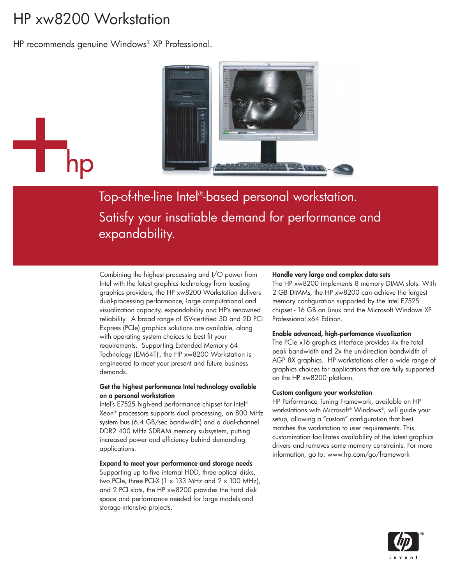# HP xw8200 Workstation

HP recommends genuine Windows® XP Professional.



Top-of-the-line Intel®-based personal workstation. Satisfy your insatiable demand for performance and expandability.

Combining the highest processing and I/O power from Intel with the latest graphics technology from leading graphics providers, the HP xw8200 Workstation delivers dual-processing performance, large computational and visualization capacity, expandability and HP's renowned reliability. A broad range of ISV-certified 3D and 2D PCI Express (PCIe) graphics solutions are available, along with operating system choices to best fit your requirements. Supporting Extended Memory 64 Technology (EM64T)', the HP xw8200 Workstation is engineered to meet your present and future business demands.

#### **Get the highest performance Intel technology available on a personal workstation**

Intel's E7525 high-end performance chipset for Intel® Xeon® processors supports dual processing, an 800 MHz system bus (6.4 GB/sec bandwidth) and a dual-channel DDR2 400 MHz SDRAM memory subsystem, putting increased power and efficiency behind demanding applications.

#### **Expand to meet your performance and storage needs**

Supporting up to five internal HDD, three optical disks, two PCIe, three PCI-X (1  $\times$  133 MHz and 2  $\times$  100 MHz), and 2 PCI slots, the HP xw8200 provides the hard disk space and performance needed for large models and storage-intensive projects.

#### **Handle very large and complex data sets**

The HP xw8200 implements 8 memory DIMM slots. With 2 GB DIMMs, the HP xw8200 can achieve the largest memory configuration supported by the Intel E7525 chipset - 16 GB on Linux and the Microsoft Windows XP Professional x64 Edition.

#### **Enable advanced, high-perfomance visualization**

The PCIe x16 graphics interface provides 4x the total peak bandwidth and 2x the unidirection bandwidth of AGP 8X graphics. HP workstations offer a wide range of graphics choices for applications that are fully supported on the HP xw8200 platform.

#### **Custom configure your workstation**

HP Performance Tuning Framework, available on HP workstations with Microsoft® Windows®, will guide your setup, allowing a "custom" configuration that best matches the workstation to user requirements. This customization facilitates availability of the latest graphics drivers and removes some memory constraints. For more information, go to: www.hp.com/go/framework